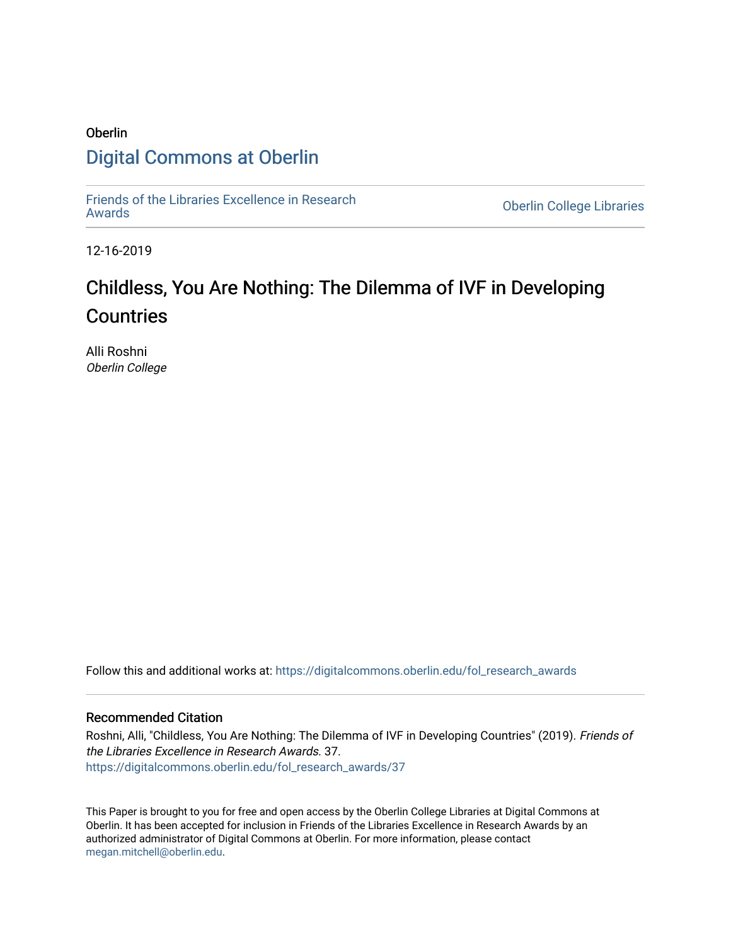# Oberlin [Digital Commons at Oberlin](https://digitalcommons.oberlin.edu/)

[Friends of the Libraries Excellence in Research](https://digitalcommons.oberlin.edu/fol_research_awards)

**Oberlin College Libraries** 

12-16-2019

# Childless, You Are Nothing: The Dilemma of IVF in Developing **Countries**

Alli Roshni Oberlin College

Follow this and additional works at: [https://digitalcommons.oberlin.edu/fol\\_research\\_awards](https://digitalcommons.oberlin.edu/fol_research_awards?utm_source=digitalcommons.oberlin.edu%2Ffol_research_awards%2F37&utm_medium=PDF&utm_campaign=PDFCoverPages)

## Recommended Citation

Roshni, Alli, "Childless, You Are Nothing: The Dilemma of IVF in Developing Countries" (2019). Friends of the Libraries Excellence in Research Awards. 37. [https://digitalcommons.oberlin.edu/fol\\_research\\_awards/37](https://digitalcommons.oberlin.edu/fol_research_awards/37?utm_source=digitalcommons.oberlin.edu%2Ffol_research_awards%2F37&utm_medium=PDF&utm_campaign=PDFCoverPages) 

This Paper is brought to you for free and open access by the Oberlin College Libraries at Digital Commons at Oberlin. It has been accepted for inclusion in Friends of the Libraries Excellence in Research Awards by an authorized administrator of Digital Commons at Oberlin. For more information, please contact [megan.mitchell@oberlin.edu](mailto:megan.mitchell@oberlin.edu).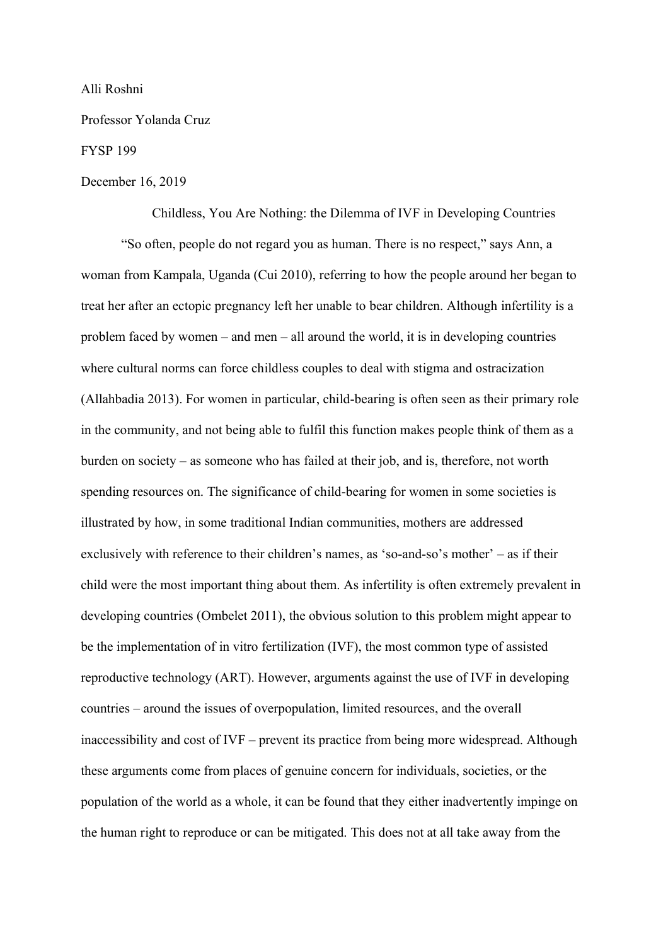### Alli Roshni

Professor Yolanda Cruz

#### FYSP 199

#### December 16, 2019

Childless, You Are Nothing: the Dilemma of IVF in Developing Countries

"So often, people do not regard you as human. There is no respect," says Ann, a woman from Kampala, Uganda (Cui 2010), referring to how the people around her began to treat her after an ectopic pregnancy left her unable to bear children. Although infertility is a problem faced by women – and men – all around the world, it is in developing countries where cultural norms can force childless couples to deal with stigma and ostracization (Allahbadia 2013). For women in particular, child-bearing is often seen as their primary role in the community, and not being able to fulfil this function makes people think of them as a burden on society – as someone who has failed at their job, and is, therefore, not worth spending resources on. The significance of child-bearing for women in some societies is illustrated by how, in some traditional Indian communities, mothers are addressed exclusively with reference to their children's names, as 'so-and-so's mother' – as if their child were the most important thing about them. As infertility is often extremely prevalent in developing countries (Ombelet 2011), the obvious solution to this problem might appear to be the implementation of in vitro fertilization (IVF), the most common type of assisted reproductive technology (ART). However, arguments against the use of IVF in developing countries – around the issues of overpopulation, limited resources, and the overall inaccessibility and cost of IVF – prevent its practice from being more widespread. Although these arguments come from places of genuine concern for individuals, societies, or the population of the world as a whole, it can be found that they either inadvertently impinge on the human right to reproduce or can be mitigated. This does not at all take away from the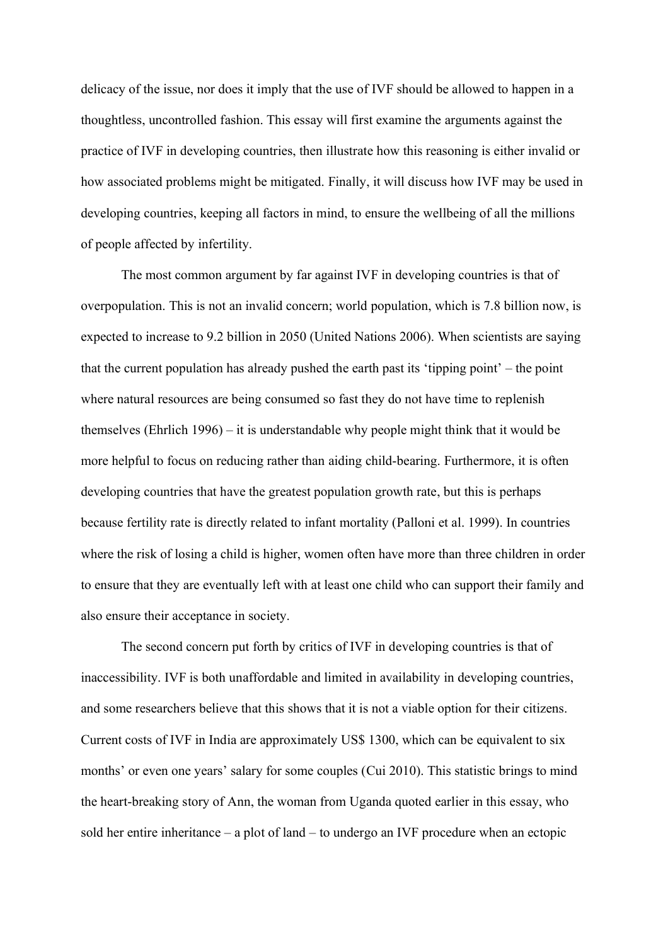delicacy of the issue, nor does it imply that the use of IVF should be allowed to happen in a thoughtless, uncontrolled fashion. This essay will first examine the arguments against the practice of IVF in developing countries, then illustrate how this reasoning is either invalid or how associated problems might be mitigated. Finally, it will discuss how IVF may be used in developing countries, keeping all factors in mind, to ensure the wellbeing of all the millions of people affected by infertility.

The most common argument by far against IVF in developing countries is that of overpopulation. This is not an invalid concern; world population, which is 7.8 billion now, is expected to increase to 9.2 billion in 2050 (United Nations 2006). When scientists are saying that the current population has already pushed the earth past its 'tipping point' – the point where natural resources are being consumed so fast they do not have time to replenish themselves (Ehrlich 1996) – it is understandable why people might think that it would be more helpful to focus on reducing rather than aiding child-bearing. Furthermore, it is often developing countries that have the greatest population growth rate, but this is perhaps because fertility rate is directly related to infant mortality (Palloni et al. 1999). In countries where the risk of losing a child is higher, women often have more than three children in order to ensure that they are eventually left with at least one child who can support their family and also ensure their acceptance in society.

The second concern put forth by critics of IVF in developing countries is that of inaccessibility. IVF is both unaffordable and limited in availability in developing countries, and some researchers believe that this shows that it is not a viable option for their citizens. Current costs of IVF in India are approximately US\$ 1300, which can be equivalent to six months' or even one years' salary for some couples (Cui 2010). This statistic brings to mind the heart-breaking story of Ann, the woman from Uganda quoted earlier in this essay, who sold her entire inheritance – a plot of land – to undergo an IVF procedure when an ectopic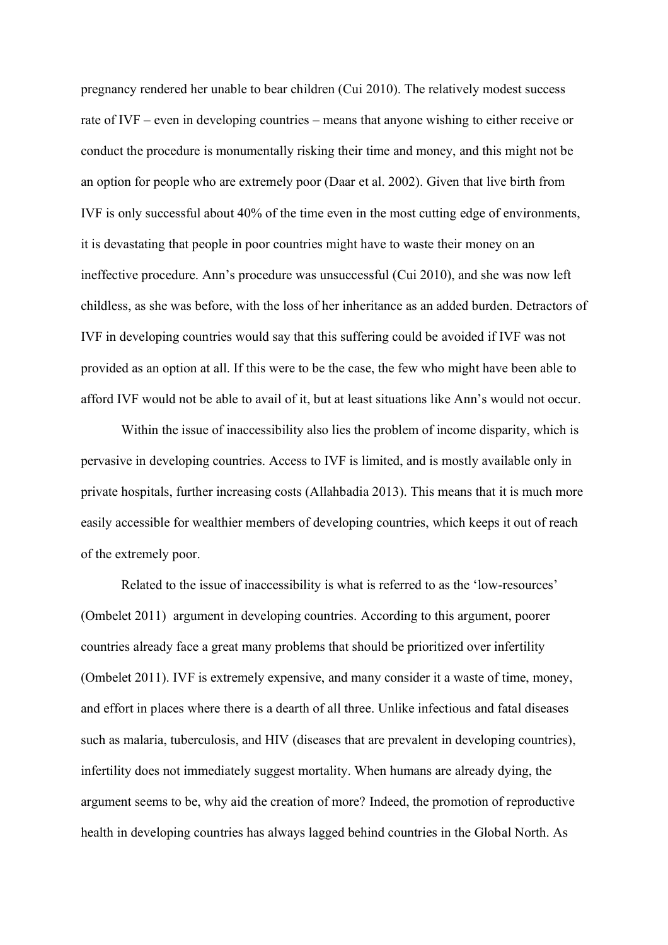pregnancy rendered her unable to bear children (Cui 2010). The relatively modest success rate of IVF – even in developing countries – means that anyone wishing to either receive or conduct the procedure is monumentally risking their time and money, and this might not be an option for people who are extremely poor (Daar et al. 2002). Given that live birth from IVF is only successful about 40% of the time even in the most cutting edge of environments, it is devastating that people in poor countries might have to waste their money on an ineffective procedure. Ann's procedure was unsuccessful (Cui 2010), and she was now left childless, as she was before, with the loss of her inheritance as an added burden. Detractors of IVF in developing countries would say that this suffering could be avoided if IVF was not provided as an option at all. If this were to be the case, the few who might have been able to afford IVF would not be able to avail of it, but at least situations like Ann's would not occur.

Within the issue of inaccessibility also lies the problem of income disparity, which is pervasive in developing countries. Access to IVF is limited, and is mostly available only in private hospitals, further increasing costs (Allahbadia 2013). This means that it is much more easily accessible for wealthier members of developing countries, which keeps it out of reach of the extremely poor.

Related to the issue of inaccessibility is what is referred to as the 'low-resources' (Ombelet 2011) argument in developing countries. According to this argument, poorer countries already face a great many problems that should be prioritized over infertility (Ombelet 2011). IVF is extremely expensive, and many consider it a waste of time, money, and effort in places where there is a dearth of all three. Unlike infectious and fatal diseases such as malaria, tuberculosis, and HIV (diseases that are prevalent in developing countries), infertility does not immediately suggest mortality. When humans are already dying, the argument seems to be, why aid the creation of more? Indeed, the promotion of reproductive health in developing countries has always lagged behind countries in the Global North. As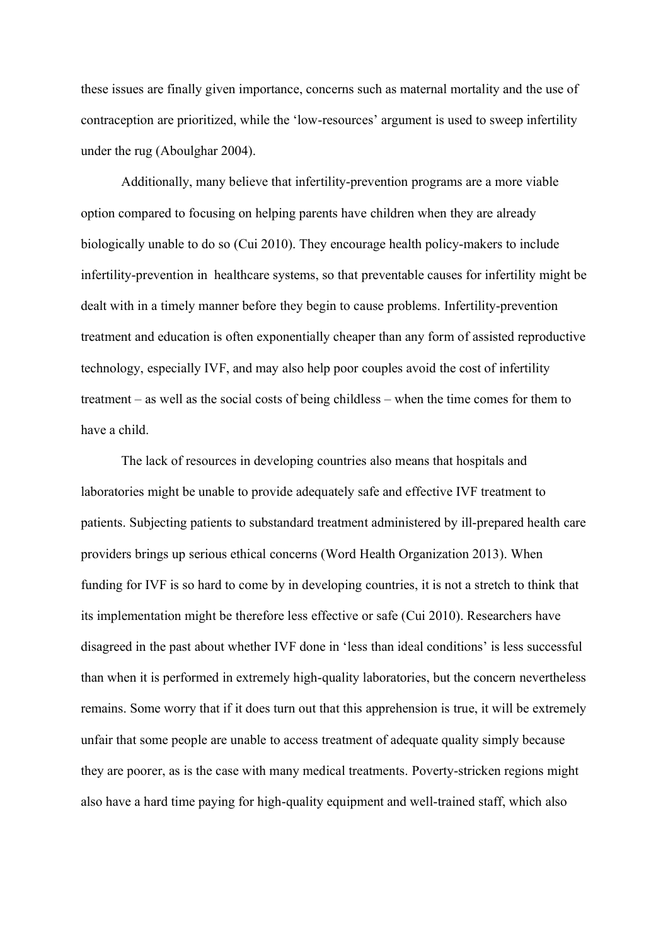these issues are finally given importance, concerns such as maternal mortality and the use of contraception are prioritized, while the 'low-resources' argument is used to sweep infertility under the rug (Aboulghar 2004).

Additionally, many believe that infertility-prevention programs are a more viable option compared to focusing on helping parents have children when they are already biologically unable to do so (Cui 2010). They encourage health policy-makers to include infertility-prevention in healthcare systems, so that preventable causes for infertility might be dealt with in a timely manner before they begin to cause problems. Infertility-prevention treatment and education is often exponentially cheaper than any form of assisted reproductive technology, especially IVF, and may also help poor couples avoid the cost of infertility treatment – as well as the social costs of being childless – when the time comes for them to have a child.

The lack of resources in developing countries also means that hospitals and laboratories might be unable to provide adequately safe and effective IVF treatment to patients. Subjecting patients to substandard treatment administered by ill-prepared health care providers brings up serious ethical concerns (Word Health Organization 2013). When funding for IVF is so hard to come by in developing countries, it is not a stretch to think that its implementation might be therefore less effective or safe (Cui 2010). Researchers have disagreed in the past about whether IVF done in 'less than ideal conditions' is less successful than when it is performed in extremely high-quality laboratories, but the concern nevertheless remains. Some worry that if it does turn out that this apprehension is true, it will be extremely unfair that some people are unable to access treatment of adequate quality simply because they are poorer, as is the case with many medical treatments. Poverty-stricken regions might also have a hard time paying for high-quality equipment and well-trained staff, which also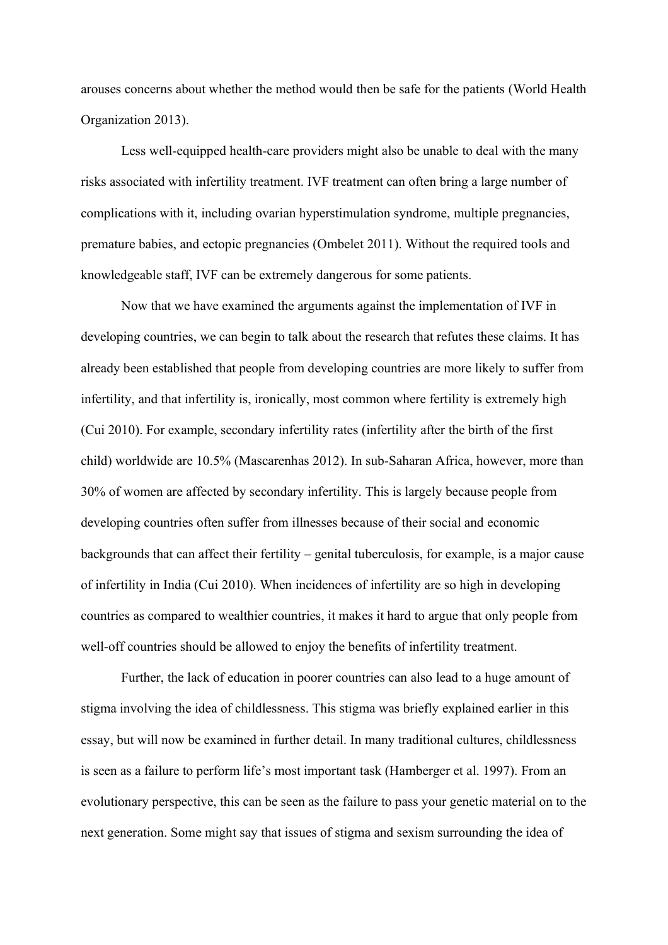arouses concerns about whether the method would then be safe for the patients (World Health Organization 2013).

Less well-equipped health-care providers might also be unable to deal with the many risks associated with infertility treatment. IVF treatment can often bring a large number of complications with it, including ovarian hyperstimulation syndrome, multiple pregnancies, premature babies, and ectopic pregnancies (Ombelet 2011). Without the required tools and knowledgeable staff, IVF can be extremely dangerous for some patients.

Now that we have examined the arguments against the implementation of IVF in developing countries, we can begin to talk about the research that refutes these claims. It has already been established that people from developing countries are more likely to suffer from infertility, and that infertility is, ironically, most common where fertility is extremely high (Cui 2010). For example, secondary infertility rates (infertility after the birth of the first child) worldwide are 10.5% (Mascarenhas 2012). In sub-Saharan Africa, however, more than 30% of women are affected by secondary infertility. This is largely because people from developing countries often suffer from illnesses because of their social and economic backgrounds that can affect their fertility – genital tuberculosis, for example, is a major cause of infertility in India (Cui 2010). When incidences of infertility are so high in developing countries as compared to wealthier countries, it makes it hard to argue that only people from well-off countries should be allowed to enjoy the benefits of infertility treatment.

Further, the lack of education in poorer countries can also lead to a huge amount of stigma involving the idea of childlessness. This stigma was briefly explained earlier in this essay, but will now be examined in further detail. In many traditional cultures, childlessness is seen as a failure to perform life's most important task (Hamberger et al. 1997). From an evolutionary perspective, this can be seen as the failure to pass your genetic material on to the next generation. Some might say that issues of stigma and sexism surrounding the idea of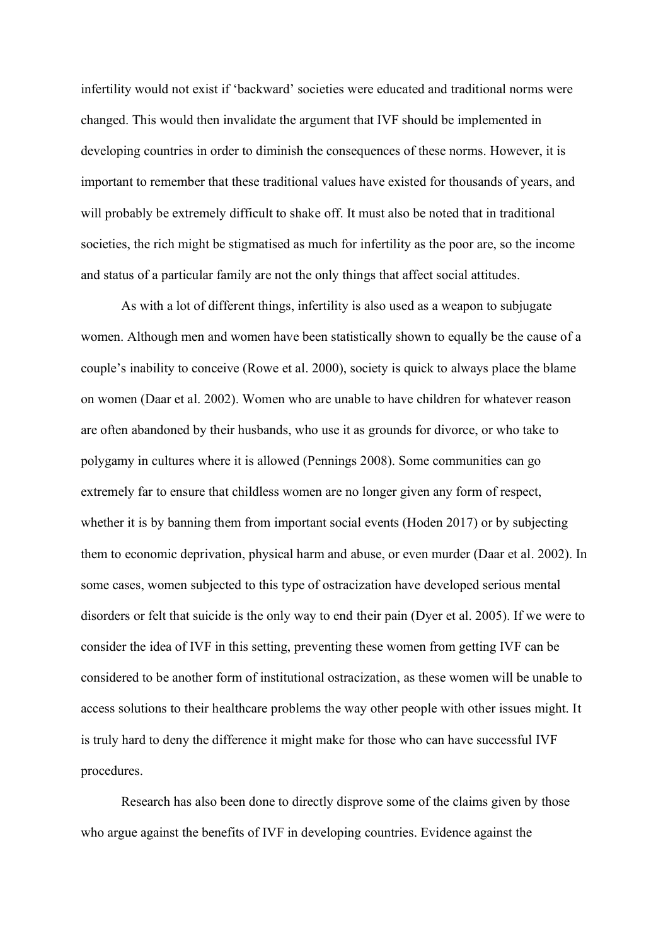infertility would not exist if 'backward' societies were educated and traditional norms were changed. This would then invalidate the argument that IVF should be implemented in developing countries in order to diminish the consequences of these norms. However, it is important to remember that these traditional values have existed for thousands of years, and will probably be extremely difficult to shake off. It must also be noted that in traditional societies, the rich might be stigmatised as much for infertility as the poor are, so the income and status of a particular family are not the only things that affect social attitudes.

As with a lot of different things, infertility is also used as a weapon to subjugate women. Although men and women have been statistically shown to equally be the cause of a couple's inability to conceive (Rowe et al. 2000), society is quick to always place the blame on women (Daar et al. 2002). Women who are unable to have children for whatever reason are often abandoned by their husbands, who use it as grounds for divorce, or who take to polygamy in cultures where it is allowed (Pennings 2008). Some communities can go extremely far to ensure that childless women are no longer given any form of respect, whether it is by banning them from important social events (Hoden 2017) or by subjecting them to economic deprivation, physical harm and abuse, or even murder (Daar et al. 2002). In some cases, women subjected to this type of ostracization have developed serious mental disorders or felt that suicide is the only way to end their pain (Dyer et al. 2005). If we were to consider the idea of IVF in this setting, preventing these women from getting IVF can be considered to be another form of institutional ostracization, as these women will be unable to access solutions to their healthcare problems the way other people with other issues might. It is truly hard to deny the difference it might make for those who can have successful IVF procedures.

Research has also been done to directly disprove some of the claims given by those who argue against the benefits of IVF in developing countries. Evidence against the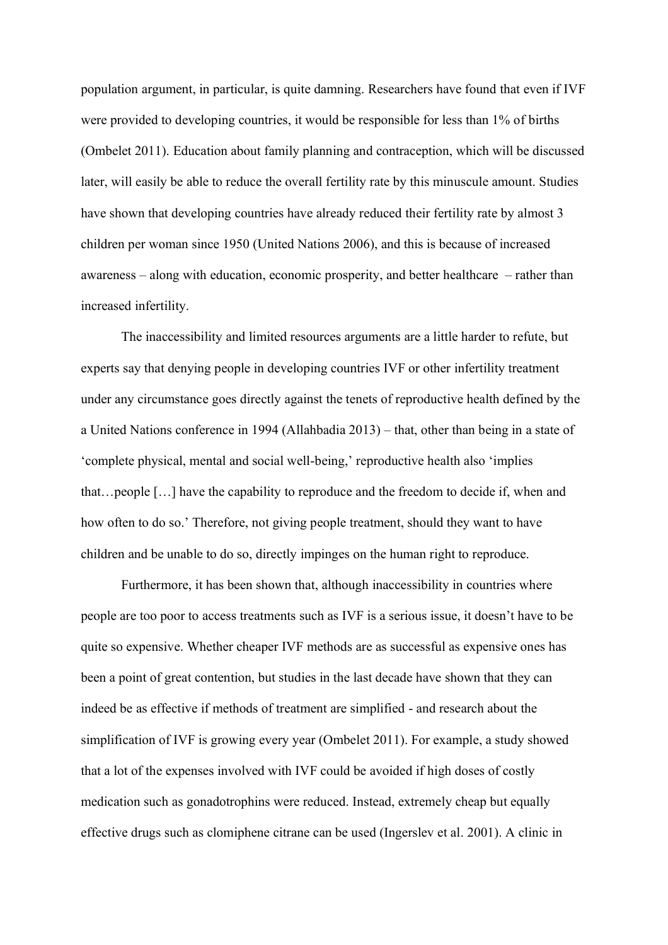population argument, in particular, is quite damning. Researchers have found that even if IVF were provided to developing countries, it would be responsible for less than 1% of births (Ombelet 2011). Education about family planning and contraception, which will be discussed later, will easily be able to reduce the overall fertility rate by this minuscule amount. Studies have shown that developing countries have already reduced their fertility rate by almost 3 children per woman since 1950 (United Nations 2006), and this is because of increased awareness – along with education, economic prosperity, and better healthcare – rather than increased infertility.

The inaccessibility and limited resources arguments are a little harder to refute, but experts say that denying people in developing countries IVF or other infertility treatment under any circumstance goes directly against the tenets of reproductive health defined by the a United Nations conference in 1994 (Allahbadia 2013) – that, other than being in a state of 'complete physical, mental and social well-being,' reproductive health also 'implies that…people […] have the capability to reproduce and the freedom to decide if, when and how often to do so.' Therefore, not giving people treatment, should they want to have children and be unable to do so, directly impinges on the human right to reproduce.

Furthermore, it has been shown that, although inaccessibility in countries where people are too poor to access treatments such as IVF is a serious issue, it doesn't have to be quite so expensive. Whether cheaper IVF methods are as successful as expensive ones has been a point of great contention, but studies in the last decade have shown that they can indeed be as effective if methods of treatment are simplified - and research about the simplification of IVF is growing every year (Ombelet 2011). For example, a study showed that a lot of the expenses involved with IVF could be avoided if high doses of costly medication such as gonadotrophins were reduced. Instead, extremely cheap but equally effective drugs such as clomiphene citrane can be used (Ingerslev et al. 2001). A clinic in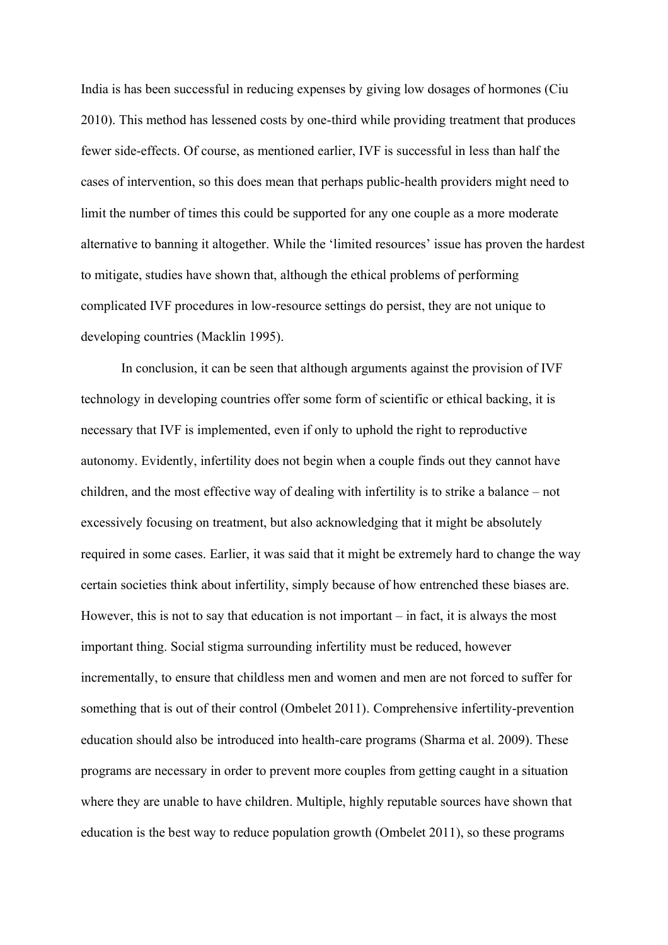India is has been successful in reducing expenses by giving low dosages of hormones (Ciu 2010). This method has lessened costs by one-third while providing treatment that produces fewer side-effects. Of course, as mentioned earlier, IVF is successful in less than half the cases of intervention, so this does mean that perhaps public-health providers might need to limit the number of times this could be supported for any one couple as a more moderate alternative to banning it altogether. While the 'limited resources' issue has proven the hardest to mitigate, studies have shown that, although the ethical problems of performing complicated IVF procedures in low-resource settings do persist, they are not unique to developing countries (Macklin 1995).

In conclusion, it can be seen that although arguments against the provision of IVF technology in developing countries offer some form of scientific or ethical backing, it is necessary that IVF is implemented, even if only to uphold the right to reproductive autonomy. Evidently, infertility does not begin when a couple finds out they cannot have children, and the most effective way of dealing with infertility is to strike a balance – not excessively focusing on treatment, but also acknowledging that it might be absolutely required in some cases. Earlier, it was said that it might be extremely hard to change the way certain societies think about infertility, simply because of how entrenched these biases are. However, this is not to say that education is not important – in fact, it is always the most important thing. Social stigma surrounding infertility must be reduced, however incrementally, to ensure that childless men and women and men are not forced to suffer for something that is out of their control (Ombelet 2011). Comprehensive infertility-prevention education should also be introduced into health-care programs (Sharma et al. 2009). These programs are necessary in order to prevent more couples from getting caught in a situation where they are unable to have children. Multiple, highly reputable sources have shown that education is the best way to reduce population growth (Ombelet 2011), so these programs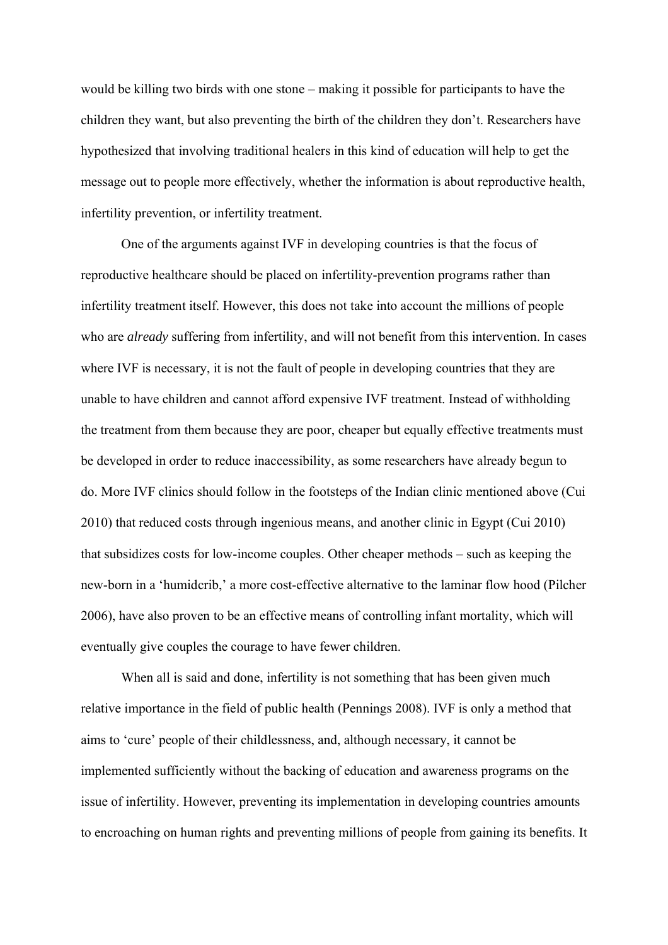would be killing two birds with one stone – making it possible for participants to have the children they want, but also preventing the birth of the children they don't. Researchers have hypothesized that involving traditional healers in this kind of education will help to get the message out to people more effectively, whether the information is about reproductive health, infertility prevention, or infertility treatment.

One of the arguments against IVF in developing countries is that the focus of reproductive healthcare should be placed on infertility-prevention programs rather than infertility treatment itself. However, this does not take into account the millions of people who are *already* suffering from infertility, and will not benefit from this intervention. In cases where IVF is necessary, it is not the fault of people in developing countries that they are unable to have children and cannot afford expensive IVF treatment. Instead of withholding the treatment from them because they are poor, cheaper but equally effective treatments must be developed in order to reduce inaccessibility, as some researchers have already begun to do. More IVF clinics should follow in the footsteps of the Indian clinic mentioned above (Cui 2010) that reduced costs through ingenious means, and another clinic in Egypt (Cui 2010) that subsidizes costs for low-income couples. Other cheaper methods – such as keeping the new-born in a 'humidcrib,' a more cost-effective alternative to the laminar flow hood (Pilcher 2006), have also proven to be an effective means of controlling infant mortality, which will eventually give couples the courage to have fewer children.

When all is said and done, infertility is not something that has been given much relative importance in the field of public health (Pennings 2008). IVF is only a method that aims to 'cure' people of their childlessness, and, although necessary, it cannot be implemented sufficiently without the backing of education and awareness programs on the issue of infertility. However, preventing its implementation in developing countries amounts to encroaching on human rights and preventing millions of people from gaining its benefits. It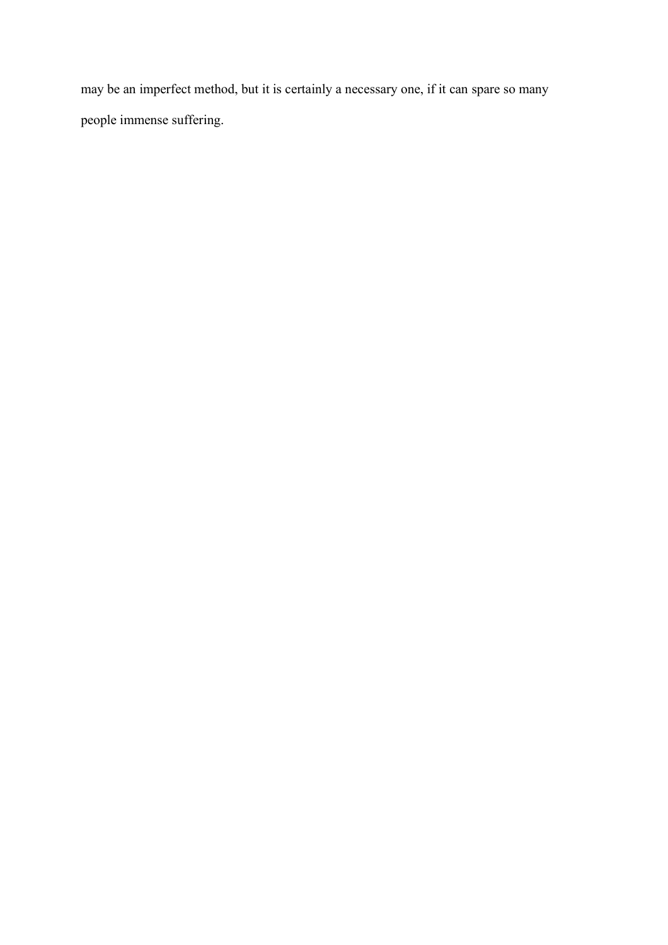may be an imperfect method, but it is certainly a necessary one, if it can spare so many people immense suffering.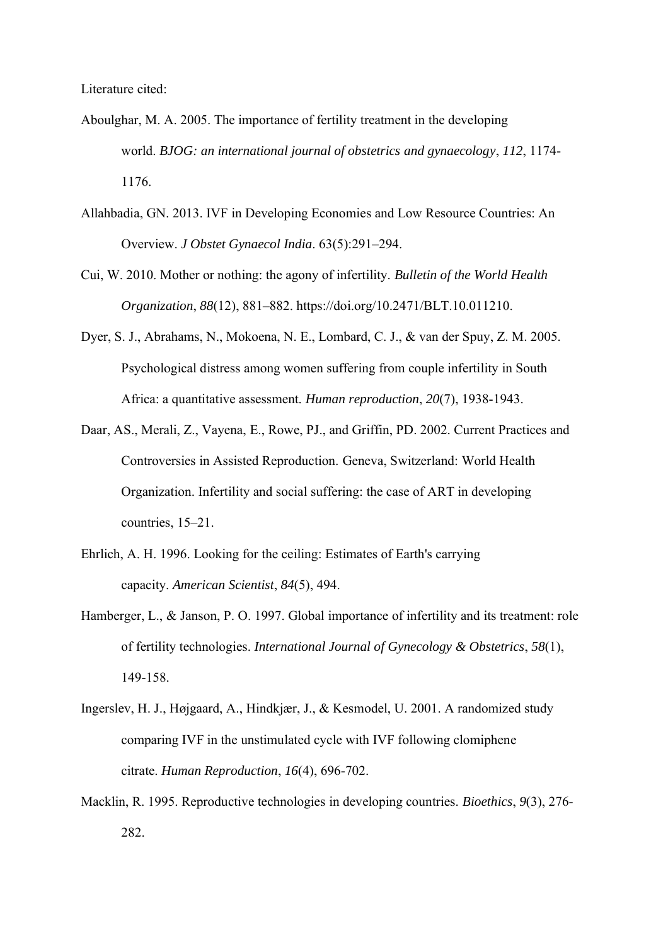- Aboulghar, M. A. 2005. The importance of fertility treatment in the developing world. *BJOG: an international journal of obstetrics and gynaecology*, *112*, 1174- 1176.
- Allahbadia, GN. 2013. IVF in Developing Economies and Low Resource Countries: An Overview. *J Obstet Gynaecol India*. 63(5):291–294.
- Cui, W. 2010. Mother or nothing: the agony of infertility. *Bulletin of the World Health Organization*, *88*(12), 881–882. https://doi.org/10.2471/BLT.10.011210.
- Dyer, S. J., Abrahams, N., Mokoena, N. E., Lombard, C. J., & van der Spuy, Z. M. 2005. Psychological distress among women suffering from couple infertility in South Africa: a quantitative assessment. *Human reproduction*, *20*(7), 1938-1943.
- Daar, AS., Merali, Z., Vayena, E., Rowe, PJ., and Griffin, PD. 2002. Current Practices and Controversies in Assisted Reproduction. Geneva, Switzerland: World Health Organization. Infertility and social suffering: the case of ART in developing countries, 15–21.
- Ehrlich, A. H. 1996. Looking for the ceiling: Estimates of Earth's carrying capacity. *American Scientist*, *84*(5), 494.
- Hamberger, L., & Janson, P. O. 1997. Global importance of infertility and its treatment: role of fertility technologies. *International Journal of Gynecology & Obstetrics*, *58*(1), 149-158.
- Ingerslev, H. J., Højgaard, A., Hindkjær, J., & Kesmodel, U. 2001. A randomized study comparing IVF in the unstimulated cycle with IVF following clomiphene citrate. *Human Reproduction*, *16*(4), 696-702.
- Macklin, R. 1995. Reproductive technologies in developing countries. *Bioethics*, *9*(3), 276- 282.